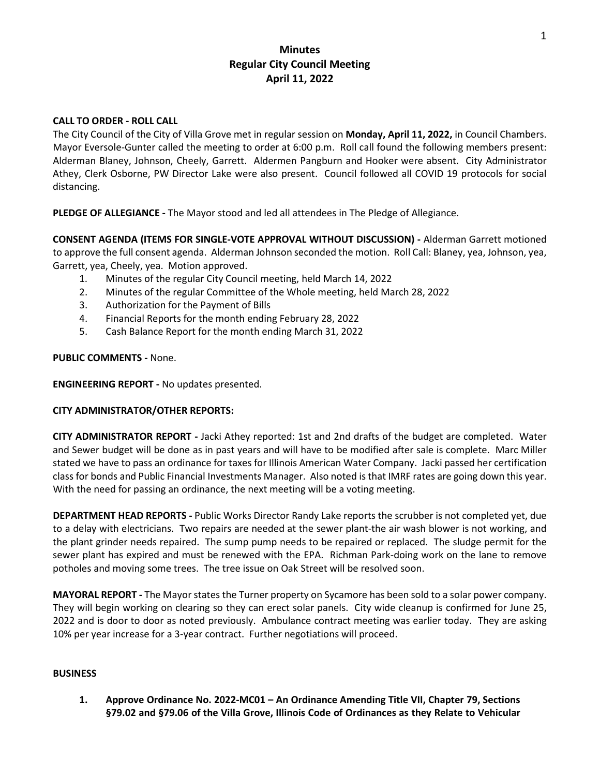# **Minutes Regular City Council Meeting April 11, 2022**

### **CALL TO ORDER - ROLL CALL**

The City Council of the City of Villa Grove met in regular session on **Monday, April 11, 2022,** in Council Chambers. Mayor Eversole-Gunter called the meeting to order at 6:00 p.m. Roll call found the following members present: Alderman Blaney, Johnson, Cheely, Garrett. Aldermen Pangburn and Hooker were absent. City Administrator Athey, Clerk Osborne, PW Director Lake were also present. Council followed all COVID 19 protocols for social distancing.

**PLEDGE OF ALLEGIANCE -** The Mayor stood and led all attendees in The Pledge of Allegiance.

**CONSENT AGENDA (ITEMS FOR SINGLE-VOTE APPROVAL WITHOUT DISCUSSION) -** Alderman Garrett motioned to approve the full consent agenda. Alderman Johnson seconded the motion. Roll Call: Blaney, yea, Johnson, yea, Garrett, yea, Cheely, yea. Motion approved.

- 1. Minutes of the regular City Council meeting, held March 14, 2022
- 2. Minutes of the regular Committee of the Whole meeting, held March 28, 2022
- 3. Authorization for the Payment of Bills
- 4. Financial Reports for the month ending February 28, 2022
- 5. Cash Balance Report for the month ending March 31, 2022

#### **PUBLIC COMMENTS -** None.

**ENGINEERING REPORT -** No updates presented.

#### **CITY ADMINISTRATOR/OTHER REPORTS:**

**CITY ADMINISTRATOR REPORT -** Jacki Athey reported: 1st and 2nd drafts of the budget are completed. Water and Sewer budget will be done as in past years and will have to be modified after sale is complete. Marc Miller stated we have to pass an ordinance for taxes for Illinois American Water Company. Jacki passed her certification class for bonds and Public Financial Investments Manager. Also noted is that IMRF rates are going down this year. With the need for passing an ordinance, the next meeting will be a voting meeting.

**DEPARTMENT HEAD REPORTS -** Public Works Director Randy Lake reports the scrubber is not completed yet, due to a delay with electricians. Two repairs are needed at the sewer plant-the air wash blower is not working, and the plant grinder needs repaired. The sump pump needs to be repaired or replaced. The sludge permit for the sewer plant has expired and must be renewed with the EPA. Richman Park-doing work on the lane to remove potholes and moving some trees. The tree issue on Oak Street will be resolved soon.

**MAYORAL REPORT -** The Mayor states the Turner property on Sycamore has been sold to a solar power company. They will begin working on clearing so they can erect solar panels. City wide cleanup is confirmed for June 25, 2022 and is door to door as noted previously. Ambulance contract meeting was earlier today. They are asking 10% per year increase for a 3-year contract. Further negotiations will proceed.

#### **BUSINESS**

**1. Approve Ordinance No. 2022-MC01 – An Ordinance Amending Title VII, Chapter 79, Sections §79.02 and §79.06 of the Villa Grove, Illinois Code of Ordinances as they Relate to Vehicular**